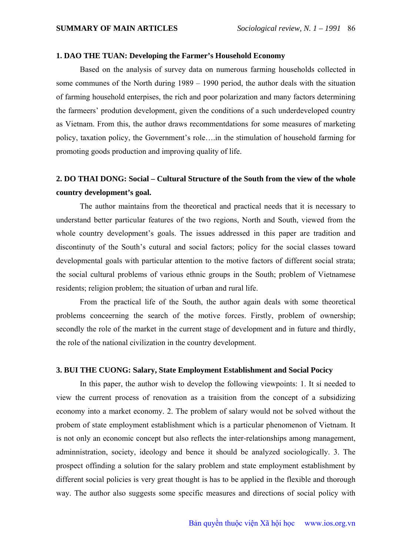#### **1. DAO THE TUAN: Developing the Farmer's Household Economy**

Based on the analysis of survey data on numerous farming households collected in some communes of the North during 1989 – 1990 period, the author deals with the situation of farming household enterpises, the rich and poor polarization and many factors determining the farmeers' prodution development, given the conditions of a such underdeveloped country as Vietnam. From this, the author draws recommentdations for some measures of marketing policy, taxation policy, the Government's role….in the stimulation of household farming for promoting goods production and improving quality of life.

### **2. DO THAI DONG: Social – Cultural Structure of the South from the view of the whole country development's goal.**

The author maintains from the theoretical and practical needs that it is necessary to understand better particular features of the two regions, North and South, viewed from the whole country development's goals. The issues addressed in this paper are tradition and discontinuty of the South's cutural and social factors; policy for the social classes toward developmental goals with particular attention to the motive factors of different social strata; the social cultural problems of various ethnic groups in the South; problem of Vietnamese residents; religion problem; the situation of urban and rural life.

From the practical life of the South, the author again deals with some theoretical problems conceerning the search of the motive forces. Firstly, problem of ownership; secondly the role of the market in the current stage of development and in future and thirdly, the role of the national civilization in the country development.

#### **3. BUI THE CUONG: Salary, State Employment Establishment and Social Pocicy**

In this paper, the author wish to develop the following viewpoints: 1. It si needed to view the current process of renovation as a traisition from the concept of a subsidizing economy into a market economy. 2. The problem of salary would not be solved without the probem of state employment establishment which is a particular phenomenon of Vietnam. It is not only an economic concept but also reflects the inter-relationships among management, adminnistration, society, ideology and bence it should be analyzed sociologically. 3. The prospect offinding a solution for the salary problem and state employment establishment by different social policies is very great thought is has to be applied in the flexible and thorough way. The author also suggests some specific measures and directions of social policy with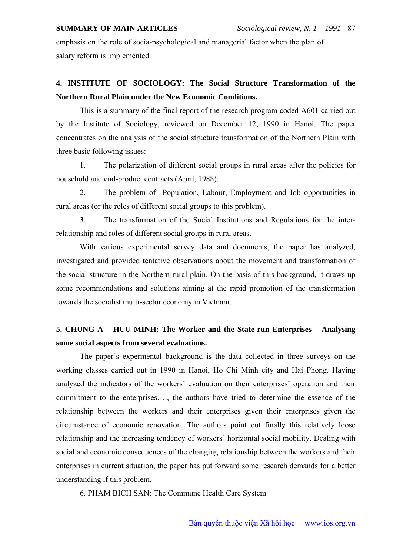### **SUMMARY OF MAIN ARTICLES** *Sociological review, N. 1 – 1991* 87

emphasis on the role of socia-psychological and managerial factor when the plan of salary reform is implemented.

# **4. INSTITUTE OF SOCIOLOGY: The Social Structure Transformation of the Northern Rural Plain under the New Economic Conditions.**

This is a summary of the final report of the research program coded A601 carried out by the Institute of Sociology, reviewed on December 12, 1990 in Hanoi. The paper concentrates on the analysis of the social structure transformation of the Northern Plain with three basic following issues:

1. The polarization of different social groups in rural areas after the policies for household and end-product contracts (April, 1988).

2. The problem of Population, Labour, Employment and Job opportunities in rural areas (or the roles of different social groups to this problem).

3. The transformation of the Social Institutions and Regulations for the interrelationship and roles of different social groups in rural areas.

With various experimental servey data and documents, the paper has analyzed, investigated and provided tentative observations about the movement and transformation of the social structure in the Northern rural plain. On the basis of this background, it draws up some recommendations and solutions aiming at the rapid promotion of the transformation towards the socialist multi-sector economy in Vietnam.

## **5. CHUNG A – HUU MINH: The Worker and the State-run Enterprises – Analysing some social aspects from several evaluations.**

The paper's expermental background is the data collected in three surveys on the working classes carried out in 1990 in Hanoi, Ho Chi Minh city and Hai Phong. Having analyzed the indicators of the workers' evaluation on their enterprises' operation and their commitment to the enterprises…., the authors have tried to determine the essence of the relationship between the workers and their enterprises given their enterprises given the circumstance of economic renovation. The authors point out finally this relatively loose relationship and the increasing tendency of workers' horizontal social mobility. Dealing with social and economic consequences of the changing relationship between the workers and their enterprises in current situation, the paper has put forward some research demands for a better understanding if this problem.

6. PHAM BICH SAN: The Commune Health Care System